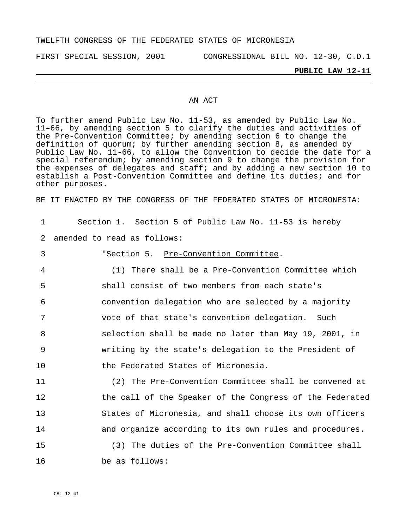### TWELFTH CONGRESS OF THE FEDERATED STATES OF MICRONESIA

FIRST SPECIAL SESSION, 2001 CONGRESSIONAL BILL NO. 12-30, C.D.1

**PUBLIC LAW 12-11**

### AN ACT

To further amend Public Law No. 11-53, as amended by Public Law No. 11–66, by amending section 5 to clarify the duties and activities of the Pre-Convention Committee; by amending section 6 to change the definition of quorum; by further amending section 8, as amended by Public Law No. 11-66, to allow the Convention to decide the date for a special referendum; by amending section 9 to change the provision for the expenses of delegates and staff; and by adding a new section 10 to establish a Post-Convention Committee and define its duties; and for other purposes.

BE IT ENACTED BY THE CONGRESS OF THE FEDERATED STATES OF MICRONESIA:

| $\mathbf{1}$ | Section 1. Section 5 of Public Law No. 11-53 is hereby   |
|--------------|----------------------------------------------------------|
| 2            | amended to read as follows:                              |
| 3            | "Section 5. Pre-Convention Committee.                    |
| 4            | (1) There shall be a Pre-Convention Committee which      |
| 5            | shall consist of two members from each state's           |
| 6            | convention delegation who are selected by a majority     |
| 7            | vote of that state's convention delegation. Such         |
| 8            | selection shall be made no later than May 19, 2001, in   |
| 9            | writing by the state's delegation to the President of    |
| 10           | the Federated States of Micronesia.                      |
| 11           | (2) The Pre-Convention Committee shall be convened at    |
| 12           | the call of the Speaker of the Congress of the Federated |
| 13           | States of Micronesia, and shall choose its own officers  |
| 14           | and organize according to its own rules and procedures.  |

15 16 (3) The duties of the Pre-Convention Committee shall be as follows: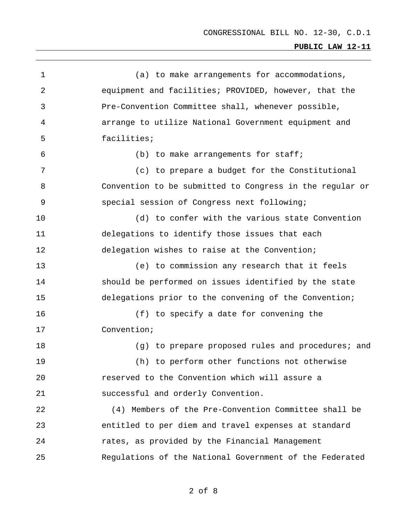1 2 3 4 5 6 7 8 9 10 11 12 13 14 15 16 17 18 19  $20^{\circ}$ 21 22 23 24 25 (a) to make arrangements for accommodations, equipment and facilities; PROVIDED, however, that the Pre-Convention Committee shall, whenever possible, arrange to utilize National Government equipment and facilities; (b) to make arrangements for staff; (c) to prepare a budget for the Constitutional Convention to be submitted to Congress in the regular or special session of Congress next following; (d) to confer with the various state Convention delegations to identify those issues that each delegation wishes to raise at the Convention; (e) to commission any research that it feels should be performed on issues identified by the state delegations prior to the convening of the Convention; (f) to specify a date for convening the Convention; (g) to prepare proposed rules and procedures; and (h) to perform other functions not otherwise reserved to the Convention which will assure a successful and orderly Convention. (4) Members of the Pre-Convention Committee shall be entitled to per diem and travel expenses at standard rates, as provided by the Financial Management Regulations of the National Government of the Federated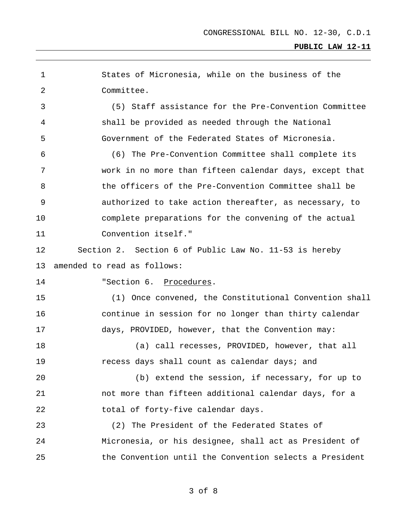| 1  | States of Micronesia, while on the business of the       |
|----|----------------------------------------------------------|
| 2  | Committee.                                               |
| 3  | Staff assistance for the Pre-Convention Committee<br>(5) |
| 4  | shall be provided as needed through the National         |
| 5  | Government of the Federated States of Micronesia.        |
| 6  | (6) The Pre-Convention Committee shall complete its      |
| 7  | work in no more than fifteen calendar days, except that  |
| 8  | the officers of the Pre-Convention Committee shall be    |
| 9  | authorized to take action thereafter, as necessary, to   |
| 10 | complete preparations for the convening of the actual    |
| 11 | Convention itself."                                      |
| 12 | Section 2. Section 6 of Public Law No. 11-53 is hereby   |
| 13 | amended to read as follows:                              |
| 14 | "Section 6. Procedures.                                  |
| 15 | (1) Once convened, the Constitutional Convention shall   |
| 16 | continue in session for no longer than thirty calendar   |
| 17 | days, PROVIDED, however, that the Convention may:        |
| 18 | (a) call recesses, PROVIDED, however, that all           |
| 19 | recess days shall count as calendar days; and            |
| 20 | (b) extend the session, if necessary, for up to          |
| 21 | not more than fifteen additional calendar days, for a    |
| 22 | total of forty-five calendar days.                       |
| 23 | (2) The President of the Federated States of             |
|    |                                                          |
| 24 | Micronesia, or his designee, shall act as President of   |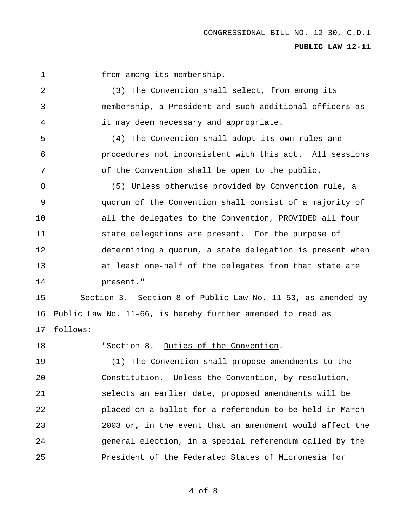1 from among its membership.

2 3 4 (3) The Convention shall select, from among its membership, a President and such additional officers as it may deem necessary and appropriate.

5 6 7 (4) The Convention shall adopt its own rules and procedures not inconsistent with this act. All sessions of the Convention shall be open to the public.

8 9 10 11 12 13 14 (5) Unless otherwise provided by Convention rule, a quorum of the Convention shall consist of a majority of all the delegates to the Convention, PROVIDED all four state delegations are present. For the purpose of determining a quorum, a state delegation is present when at least one-half of the delegates from that state are present."

15 16 17 Section 3. Section 8 of Public Law No. 11-53, as amended by Public Law No. 11-66, is hereby further amended to read as follows:

18 "Section 8. Duties of the Convention.

19  $20^{\circ}$ 21 22 23 24 25 (1) The Convention shall propose amendments to the Constitution. Unless the Convention, by resolution, selects an earlier date, proposed amendments will be placed on a ballot for a referendum to be held in March 2003 or, in the event that an amendment would affect the general election, in a special referendum called by the President of the Federated States of Micronesia for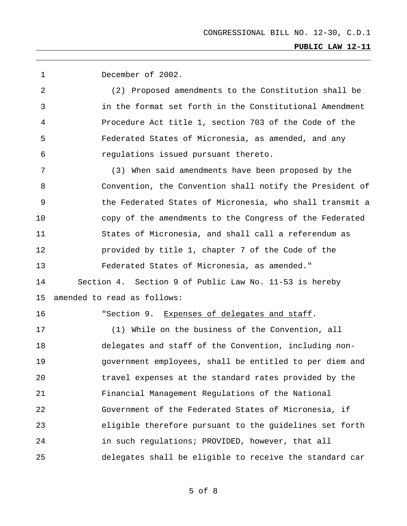1 December of 2002.

2 3 4 5 6 (2) Proposed amendments to the Constitution shall be in the format set forth in the Constitutional Amendment Procedure Act title 1, section 703 of the Code of the Federated States of Micronesia, as amended, and any regulations issued pursuant thereto.

7 8 9 10 11 12 13 14 15 (3) When said amendments have been proposed by the Convention, the Convention shall notify the President of the Federated States of Micronesia, who shall transmit a copy of the amendments to the Congress of the Federated States of Micronesia, and shall call a referendum as provided by title 1, chapter 7 of the Code of the Federated States of Micronesia, as amended." Section 4. Section 9 of Public Law No. 11-53 is hereby amended to read as follows:

16

"Section 9. Expenses of delegates and staff.

17 18 19  $20^{\circ}$ 21 22 23 24 25 (1) While on the business of the Convention, all delegates and staff of the Convention, including nongovernment employees, shall be entitled to per diem and travel expenses at the standard rates provided by the Financial Management Regulations of the National Government of the Federated States of Micronesia, if eligible therefore pursuant to the guidelines set forth in such regulations; PROVIDED, however, that all delegates shall be eligible to receive the standard car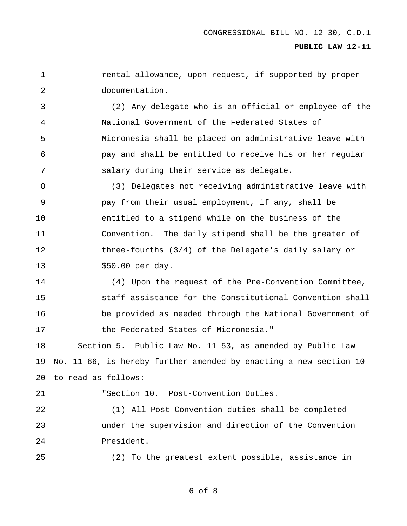1 2 rental allowance, upon request, if supported by proper documentation.

3 4 5 6 7 (2) Any delegate who is an official or employee of the National Government of the Federated States of Micronesia shall be placed on administrative leave with pay and shall be entitled to receive his or her regular salary during their service as delegate.

8 9 10 11 12 13 (3) Delegates not receiving administrative leave with pay from their usual employment, if any, shall be entitled to a stipend while on the business of the Convention. The daily stipend shall be the greater of three-fourths (3/4) of the Delegate's daily salary or \$50.00 per day.

14 15 16 17 (4) Upon the request of the Pre-Convention Committee, staff assistance for the Constitutional Convention shall be provided as needed through the National Government of the Federated States of Micronesia."

18 19 20 Section 5. Public Law No. 11-53, as amended by Public Law No. 11-66, is hereby further amended by enacting a new section 10 to read as follows:

21

"Section 10. Post-Convention Duties.

22 23 24 (1) All Post-Convention duties shall be completed under the supervision and direction of the Convention President.

25 (2) To the greatest extent possible, assistance in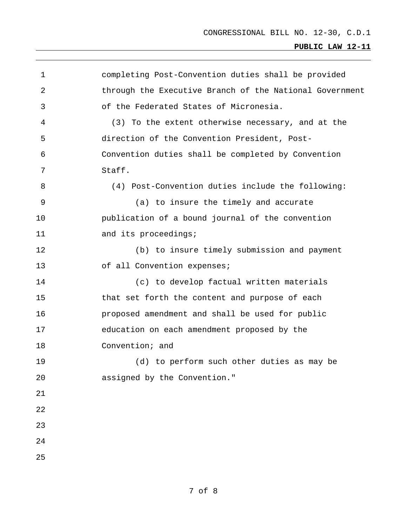| $\mathbf 1$    | completing Post-Convention duties shall be provided     |
|----------------|---------------------------------------------------------|
| 2              | through the Executive Branch of the National Government |
| 3              | of the Federated States of Micronesia.                  |
| $\overline{4}$ | (3) To the extent otherwise necessary, and at the       |
| 5              | direction of the Convention President, Post-            |
| 6              | Convention duties shall be completed by Convention      |
| 7              | Staff.                                                  |
| 8              | (4) Post-Convention duties include the following:       |
| 9              | (a) to insure the timely and accurate                   |
| 10             | publication of a bound journal of the convention        |
| 11             | and its proceedings;                                    |
| 12             | (b) to insure timely submission and payment             |
| 13             | of all Convention expenses;                             |
| 14             | (c) to develop factual written materials                |
| 15             | that set forth the content and purpose of each          |
| 16             | proposed amendment and shall be used for public         |
| 17             | education on each amendment proposed by the             |
| 18             | Convention; and                                         |
| 19             | (d) to perform such other duties as may be              |
| 20             | assigned by the Convention."                            |
| 21             |                                                         |
| 22             |                                                         |
| 23             |                                                         |
| 24             |                                                         |
| 25             |                                                         |
|                |                                                         |